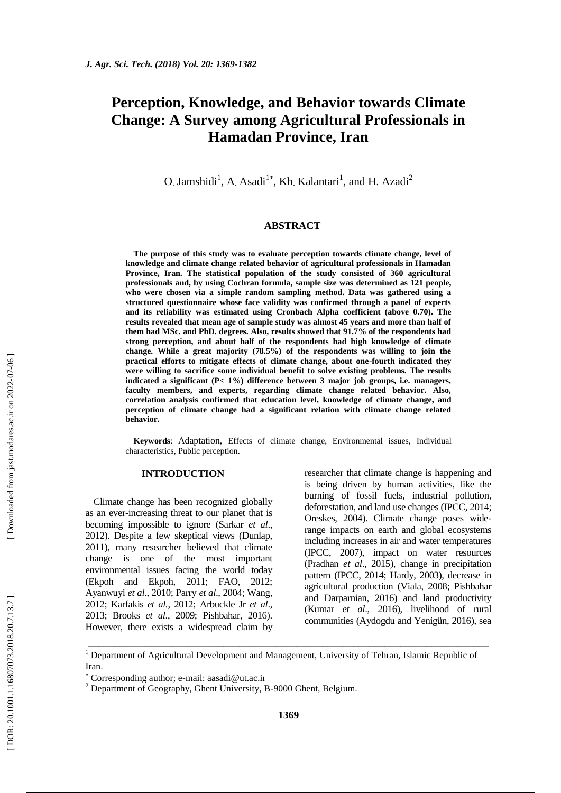# **Perception, Knowledge, and Behavior towards Climate Change: A Survey among Agricultural Professionals in Hamadan Province, Iran**

O. Jamshidi<sup>1</sup>, A. Asadi<sup>1\*</sup>, Kh. Kalantari<sup>1</sup>, and H. Azadi<sup>2</sup>

## **ABSTRACT**

**The purpose of this study was to evaluate perception towards climate change, level of knowledge and climate change related behavior of agricultural professionals in Hamadan Province, Iran. The statistical population of the study consisted of 360 agricultural professionals and, by using Cochran formula, sample size was determined as 121 people, who were chosen via a simple random sampling method. Data was gathered using a structured questionnaire whose face validity was confirmed through a panel of experts and its reliability was estimated using Cronbach Alpha coefficient (above 0.70). The results revealed that mean age of sample study was almost 45 years and more than half of them had MSc. and PhD. degrees. Also, results showed that 91.7% of the respondents had strong perception, and about half of the respondents had high knowledge of climate change. While a great majority (78.5%) of the respondents was willing to join the practical efforts to mitigate effects of climate change, about one -fourth indicated they were willing to sacrifice some individual benefit to solve existing problems. The results indicated a significant (P< 1%) difference between 3 major job groups, i.e. managers, faculty members, and experts, regarding climate change related behavior. Also, correlation analysis confirmed that education level, knowledge of climate change, and perception of climate change had a significant relation with climate change related behavior.**

**Keywords**: Adaptation, Effects of climate change, Environmental issues, Individual characteristics, Public perception.

## **INTRODUCTION**

Climate change has been recognized globally as an ever -increasing threat to our planet that is becoming impossible to ignore (Sarkar *et al*., 2012). Despite a few skeptical views (Dunlap, 2011), many researcher believed that climate change is one of the most important environmental issues facing the world today (Ekpoh and Ekpoh, 2011; FAO, 2012; Ayanwuyi *et al*., 2010; Parry *et al*., 2004; Wang, 2012; Karfakis *et al.*, 2012; Arbuckle Jr *et al*., 2013; Brooks *et al*., 2009; Pishbahar, 2016). However, there exists a widespread claim by

researcher that climate change is happening and is being driven by human activities, like the burning of fossil fuels, industrial pollution, deforestation, and land use changes (IPCC, 2014; Oreskes, 2004). Climate change poses wide range impacts on earth and global ecosystems including increases in air and water temperatures (IPCC, 2007), impact on water resources (Pradhan *et al*., 2015), change in precipitation pattern (IPCC, 2014; Hardy, 2003), decrease in agricultural production (Viala, 2008; Pishbahar and Darparnian, 2016) and land productivity (Kumar *et al*., 2016), livelihood of rural communities (Aydogdu and Yenigün, 2016), sea

\_\_\_\_\_\_\_\_\_\_\_\_\_\_\_\_\_\_\_\_\_\_\_\_\_\_\_\_\_\_\_\_\_\_\_\_\_\_\_\_\_\_\_\_\_\_\_\_\_\_\_\_\_\_\_\_\_\_\_\_\_\_\_\_\_\_\_\_\_\_\_\_\_\_\_\_\_

<sup>&</sup>lt;sup>1</sup> Department of Agricultural Development and Management, University of Tehran, Islamic Republic of Iran.

Corresponding author; e -mail: aasadi@ut.ac.ir

 $2^{2}$  Department of Geography, Ghent University, B-9000 Ghent, Belgium.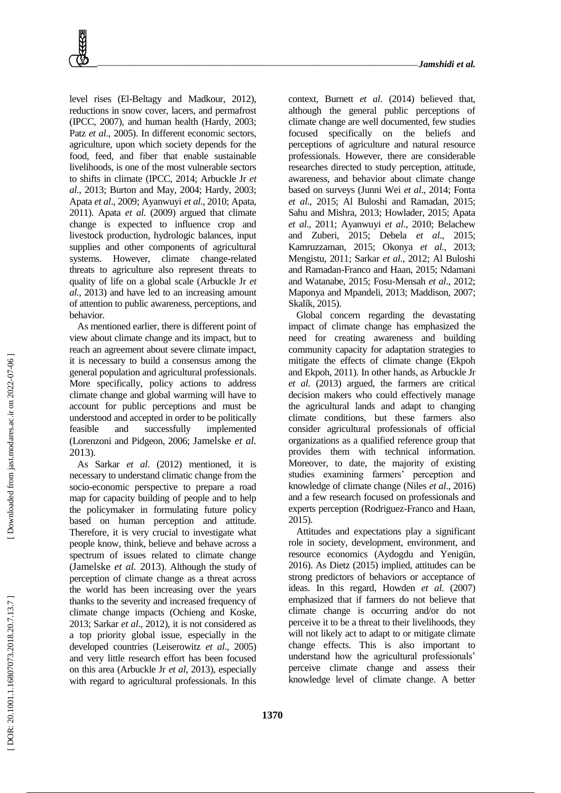level rises (El -Beltagy and Madkour, 2012), reductions in snow cover, lacers, and permafrost (IPCC, 2007), and human health (Hardy, 2003; Patz *et al.*, 2005). In different economic sectors, agriculture, upon which society depends for the food, feed, and fiber that enable sustainable livelihoods, is one of the most vulnerable sectors to shifts in climate (IPCC, 2014; Arbuckle Jr *et al*., 2013; Burton and May, 2004; Hardy, 2003; Apata *et al*., 2009; Ayanwuyi *et al*., 2010; Apata, 2011). Apata *et al*. (2009) argued that climate change is expected to influence crop and livestock production, hydrologic balances, input supplies and other components of agricultural systems. However, climate change-related threats to agriculture also represent threats to quality of life on a global scale (Arbuckle Jr *et al*., 2013) and have led to an increasing amount of attention to public awareness, perceptions, and behavior.

As mentioned earlier, there is different point of view about climate change and its impact, but to reach an agreement about severe climate impact, it is necessary to build a consensus among the general population and agricultural professionals. More specifically, policy actions to address climate change and global warming will have to account for public perceptions and must be understood and accepted in order to be politically feasible and successfully implemented (Lorenzoni and Pidgeon, 2006; Jamelske *et al.* 2013).

As Sarkar *et al*. (2012) mentioned, it is necessary to understand climatic change from the socio -economic perspective to prepare a road map for capacity building of people and to help the policymaker in formulating future policy based on human perception and attitude. Therefore, it is very crucial to investigate what people know, think, believe and behave across a spectrum of issues related to climate change (Jamelske *et al.* <sup>2013</sup>). Although the study of perception of climate change as a threat across the world has been increasing over the years thanks to the severity and increased frequency of climate change impacts (Ochieng and Koske, 2013; Sarkar *et al*., 2012), it is not considered as a top priority global issue, especially in the developed countries (Leiserowitz *et al*., 2005) and very little research effort has been focused on this area (Arbuckle Jr *et al*, 2013), especially with regard to agricultural professionals. In this

context, Burnett *et al*. (2014) believed that, although the general public perceptions of climate change are well documented, few studies focused specifically on the beliefs and perceptions of agriculture and natural resource professionals. However, there are considerable researches directed to study perception, attitude, awareness, and behavior about climate change based on surveys (Junni Wei *et al*., 2014; Fonta *et al*., 2015; Al Buloshi and Ramadan, 2015; Sahu and Mishra, 2013; Howlader, 2015; Apata *et al*., 2011; Ayanwuyi *et al*., 2010; Belachew and Zuberi, 2015; Debela *et al*., 2015; Kamruzzaman, 2015; Okonya *et al*., 2013; Mengistu, 2011; Sarkar *et al*., 2012; Al Buloshi and Ramadan -Franco and Haan, 2015; Ndamani and Watanabe, 2015; Fosu -Mensah *et al*., 2012; Maponya and Mpandeli, 2013; Maddison, 2007; Skalík, 2015).

Global concern regarding the devastating impact of climate change has emphasized the need for creating awareness and building community capacity for adaptation strategies to mitigate the effects of climate change (Ekpoh and Ekpoh, 2011). In other hands, as Arbuckle Jr *et al*. (2013) argued, the farmers are critical decision makers who could effectively manage the agricultural lands and adapt to changing climate conditions, but these farmers also consider agricultural professionals of official organizations as a qualified reference group that provides them with technical information. Moreover, to date, the majority of existing studies examining farmers' perception and knowledge of climate change (Niles *et al*., 2016) and a few research focused on professionals and experts perception (Rodriguez -Franco and Haan, 2015).

Attitudes and expectations play a significant role in society, development, environment, and resource economics (Aydogdu and Yenigün, 2016). As Dietz (2015) implied, attitudes can be strong predictors of behaviors or acceptance of ideas. In this regard, Howden *et al*. (2007) emphasized that if farmers do not believe that climate change is occurring and/or do not perceive it to be a threat to their livelihoods, they will not likely act to adapt to or mitigate climate change effects. This is also important to understand how the agricultural professionals' perceive climate change and assess their knowledge level of climate change. A better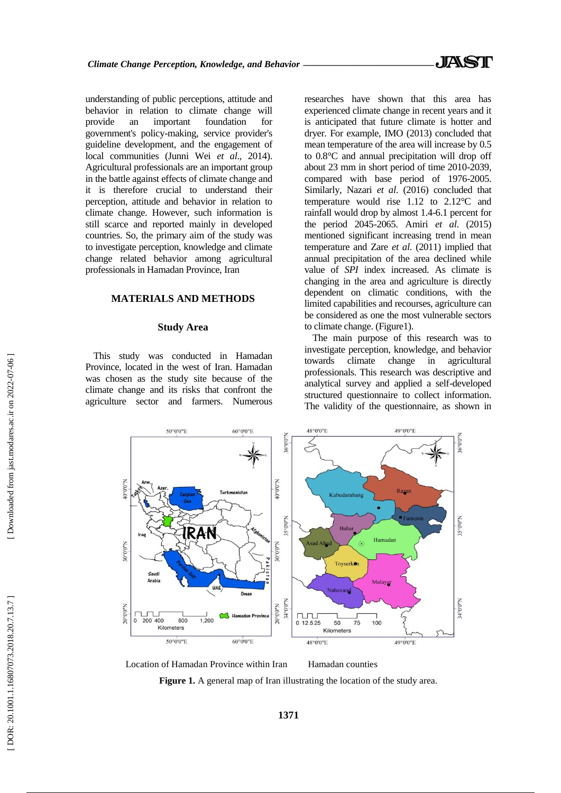understanding of public perceptions, attitude and behavior in relation to climate change will provide an important foundation for government's policy -making, service provider's guideline development, and the engagement of local communities (Junni Wei *et al*., 2014). Agricultural professionals are an important group in the battle against effects of climate change and it is therefore crucial to understand their perception, attitude and behavior in relation to climate change. However, such information is still scarce and reported mainly in developed countries. So, the primary aim of the study was to investigate perception, knowledge and climate change related behavior among agricultural professionals in Hamadan Province, Iran

# **MATERIALS AND METHOD S**

# **Study Area**

This study was conducted in Hamadan Province, located in the west of Iran. Hamadan was chosen as the study site because of the climate change and its risks that confront the agriculture sector and farmers. Numerous researches have shown that this area has experienced climate change in recent years and it is anticipated that future climate is hotter and dryer. For example, IMO (2013) concluded that mean temperature of the area will increase by 0.5 to 0.8°C and annual precipitation will drop off about 23 mm in short period of time 2010 -2039, compared with base period of 1976 -2005. Similarly, Nazari *et al*. (2016) concluded that temperature would rise 1.12 to 2.12°C and rainfall would drop by almost 1.4 -6.1 percent for the period 2045 -2065. Amiri *et al*. (2015) mentioned significant increasing trend in mean temperature and Zare *et al*. (2011) implied that annual precipitation of the area declined while value of *SPI* index increased. As climate is changing in the area and agriculture is directly dependent on climatic conditions, with the limited capabilities and recourses, agriculture can be considered as one the most vulnerable sectors to climate change. (Figure1).

The main purpose of this research was to investigate perception, knowledge, and behavior towards climate change in agricultural professionals. This research was descriptive and analytical survey and applied a self-developed structured questionnaire to collect information. The validity of the questionnaire, as shown in



Location of Hamadan Province within Iran Hamadan counties

Figure 1. A general map of Iran illustrating the location of the study area.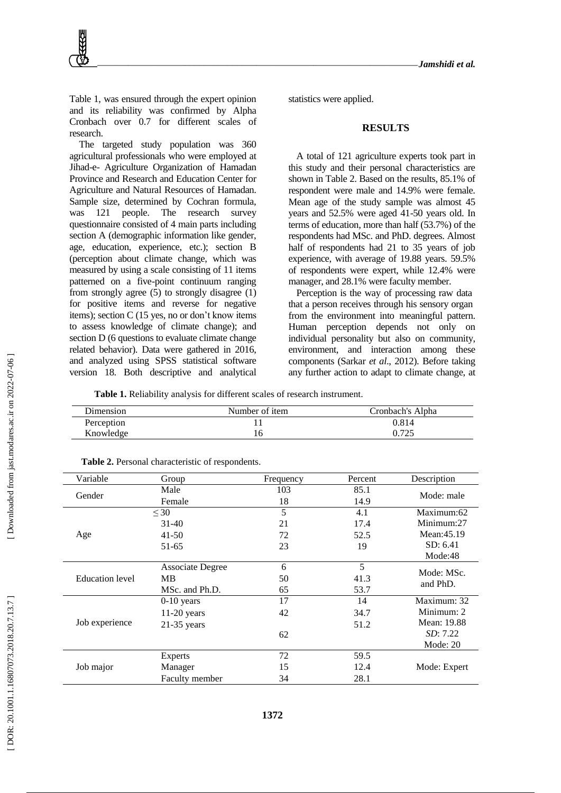Table 1, was ensured through the expert opinion and its reliability was confirmed by Alpha Cronbach over 0.7 for different scale s of research.

The targeted study population was 360 agricultural professionals who were employed at Jihad - e - Agriculture Organization of Hamadan Province and Research and Education Center for Agriculture and Natural Resources of Hamadan. Sample size, determined by Cochran formula, was 121 people. The research survey questionnaire consisted of 4 main parts including section A (demographic information like gender, age, education, experience, etc.); section B (perception about climate change, which was measured by using a scale consisting of 11 items patterned on a five -point continuum ranging from strongly agree (5) to strongly disagree (1) for positive items and reverse for negative items); section C (15 yes, no or don't know items to assess knowledge of climate change); and section D (6 questions to evaluate climate change related behavior). Data were gathered in 2016, and analyzed using SPSS statistical software version 18. Both descriptive and analytical

statistics were applied.

#### **RESULTS**

A total of 121 agriculture experts took part in this study and their personal characteristics are shown in Table 2. Based on the results, 85.1% of respondent were male and 14.9% were female. Mean age of the study sample was almost 45 years and 52.5% were aged 41 -50 years old. In terms of education, more than half (53.7%) of the respondents had MSc. and PhD. degrees. Almost half of respondents had 21 to 35 years of job experience, with average of 19.88 years. 59.5% of respondents were expert, while 12.4% were manager, and 28.1% were faculty member.

Perception is the way of processing raw data that a person receives through his sensory organ from the environment into meaningful pattern. Human perception depends not only on individual personality but also on community, environment, and interaction among these components (Sarkar *et al*., 2012). Before taking any further action to adapt to climate change, at

**Table 1.** Reliability analysis for different scales of research instrument.

| Dimension  | Number of item | Cronbach's Alpha |
|------------|----------------|------------------|
| Perception |                | 0.814            |
| Knowledge  |                | 0.725            |

| Variable               | Group            | Frequency | Percent | Description      |
|------------------------|------------------|-----------|---------|------------------|
| Gender                 | Male             | 103       | 85.1    | Mode: male       |
|                        | Female           | 18        | 14.9    |                  |
|                        | $\leq 30$        | 5         | 4.1     | Maximum:62       |
|                        | $31-40$          | 21        | 17.4    | Minimum:27       |
| Age                    | $41 - 50$        | 72        | 52.5    | Mean: 45.19      |
|                        | 51-65            | 23        | 19      | SD: 6.41         |
|                        |                  |           |         | Mode:48          |
|                        | Associate Degree | 6         | 5       | Mode: MSc.       |
| <b>Education</b> level | <b>MB</b>        | 50        | 41.3    | and PhD.         |
|                        | MSc. and Ph.D.   | 65        | 53.7    |                  |
|                        | $0-10$ years     | 17        | 14      | Maximum: 32      |
|                        | $11-20$ years    | 42        | 34.7    | Minimum: 2       |
| Job experience         | $21-35$ years    |           | 51.2    | Mean: 19.88      |
|                        |                  | 62        |         | <i>SD</i> : 7.22 |
|                        |                  |           |         | Mode: $20$       |
| Job major              | <b>Experts</b>   | 72        | 59.5    |                  |
|                        | Manager          | 15        | 12.4    | Mode: Expert     |
|                        | Faculty member   | 34        | 28.1    |                  |

**Table 2.** Personal characteristic of respondents.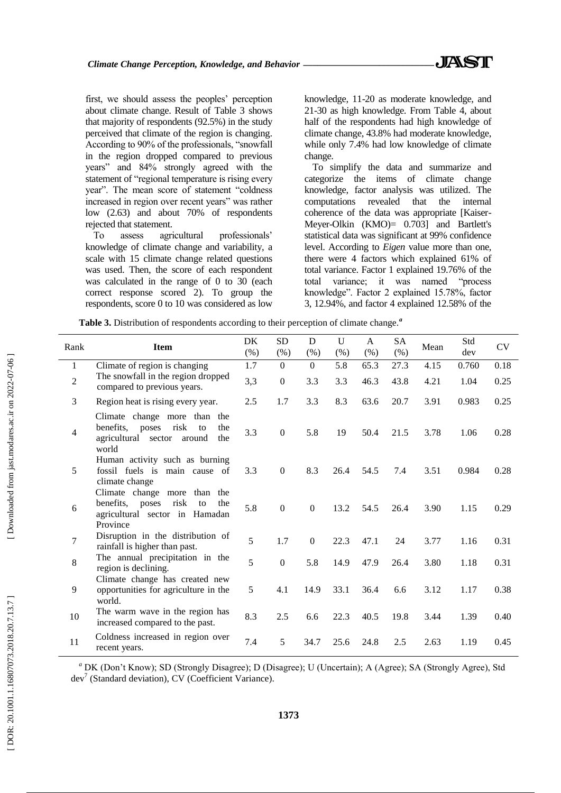first, we should assess the peoples' perception about climate change. Result of Table 3 shows that majority of respondents (92.5%) in the study perceived that climate of the region is changing. According to 90% of the professionals, "snowfall in the region dropped compared to previous years" and 84% strongly agreed with the statement of "regional temperature is rising every year". The mean score of statement "coldness increased in region over recent years" was rather low (2.63) and about 70% of respondents rejected that statement.

To assess agricultural professionals' knowledge of climate change and variability, a scale with 15 climate change related questions was used. Then, the score of each respondent was calculated in the range of 0 to 30 (each correct response scored 2). To group the respondents, score 0 to 10 was considered as low

knowledge, 11 -20 as moderate knowledge, and 21 -30 as high knowledge. From Table 4, about half of the respondents had high knowledge of climate change, 43.8% had moderate knowledge, while only 7.4% had low knowledge of climate change.

To simplify the data and summarize and categorize the items of climate change knowledge, factor analysis was utilized. The computations revealed that the internal coherence of the data was appropriate [Kaiser - Meyer -Olkin (KMO)= 0.703] and Bartlett's statistical data was significant at 99% confidence level. According to *Eigen* value more than one, there were 4 factors which explained 61% of total variance. Factor 1 explained 19.76% of the total variance; it was named "process knowledge". Factor 2 explained 15.78%, factor 3, 12.94%, and factor 4 explained 12.58% of the

*a*

|  |  |  |  |  | Table 3. Distribution of respondents according to their perception of climate change. |
|--|--|--|--|--|---------------------------------------------------------------------------------------|
|--|--|--|--|--|---------------------------------------------------------------------------------------|

| Rank           | <b>Item</b>                                                                                                           | DK<br>$(\%)$ | <b>SD</b><br>$(\%)$ | D<br>(% )        | $\mathbf{U}$<br>(% ) | A<br>(% ) | SA<br>(% ) | Mean | Std<br>dev | <b>CV</b> |
|----------------|-----------------------------------------------------------------------------------------------------------------------|--------------|---------------------|------------------|----------------------|-----------|------------|------|------------|-----------|
| $\mathbf{1}$   | Climate of region is changing                                                                                         | 1.7          | $\Omega$            | $\theta$         | 5.8                  | 65.3      | 27.3       | 4.15 | 0.760      | 0.18      |
| $\overline{2}$ | The snowfall in the region dropped<br>compared to previous years.                                                     | 3,3          | $\boldsymbol{0}$    | 3.3              | 3.3                  | 46.3      | 43.8       | 4.21 | 1.04       | 0.25      |
| 3              | Region heat is rising every year.                                                                                     | 2.5          | 1.7                 | 3.3              | 8.3                  | 63.6      | 20.7       | 3.91 | 0.983      | 0.25      |
| $\overline{4}$ | Climate change more than the<br>benefits, poses<br>risk<br>to<br>the<br>agricultural sector around<br>the<br>world    | 3.3          | $\boldsymbol{0}$    | 5.8              | 19                   | 50.4      | 21.5       | 3.78 | 1.06       | 0.28      |
| 5              | Human activity such as burning<br>fossil fuels is main cause of<br>climate change                                     | 3.3          | $\overline{0}$      | 8.3              | 26.4                 | 54.5      | 7.4        | 3.51 | 0.984      | 0.28      |
| 6              | Climate change more than the<br>benefits,<br>poses<br>risk<br>to<br>the<br>agricultural sector in Hamadan<br>Province | 5.8          | $\mathbf{0}$        | $\boldsymbol{0}$ | 13.2                 | 54.5      | 26.4       | 3.90 | 1.15       | 0.29      |
| $\overline{7}$ | Disruption in the distribution of<br>rainfall is higher than past.                                                    | 5            | 1.7                 | $\Omega$         | 22.3                 | 47.1      | 24         | 3.77 | 1.16       | 0.31      |
| 8              | The annual precipitation in the<br>region is declining.                                                               | 5            | $\boldsymbol{0}$    | 5.8              | 14.9                 | 47.9      | 26.4       | 3.80 | 1.18       | 0.31      |
| 9              | Climate change has created new<br>opportunities for agriculture in the<br>world.                                      | 5            | 4.1                 | 14.9             | 33.1                 | 36.4      | 6.6        | 3.12 | 1.17       | 0.38      |
| 10             | The warm wave in the region has<br>increased compared to the past.                                                    | 8.3          | 2.5                 | 6.6              | 22.3                 | 40.5      | 19.8       | 3.44 | 1.39       | 0.40      |
| 11             | Coldness increased in region over<br>recent years.                                                                    | 7.4          | 5                   | 34.7             | 25.6                 | 24.8      | 2.5        | 2.63 | 1.19       | 0.45      |

*<sup>a</sup>* DK (Don't Know); SD (Strongly Disagree); D (Disagree); U (Uncertain); A (Agree); SA (Strongly Agree), Std dev 7 (Standard deviation), CV (Coefficient Variance).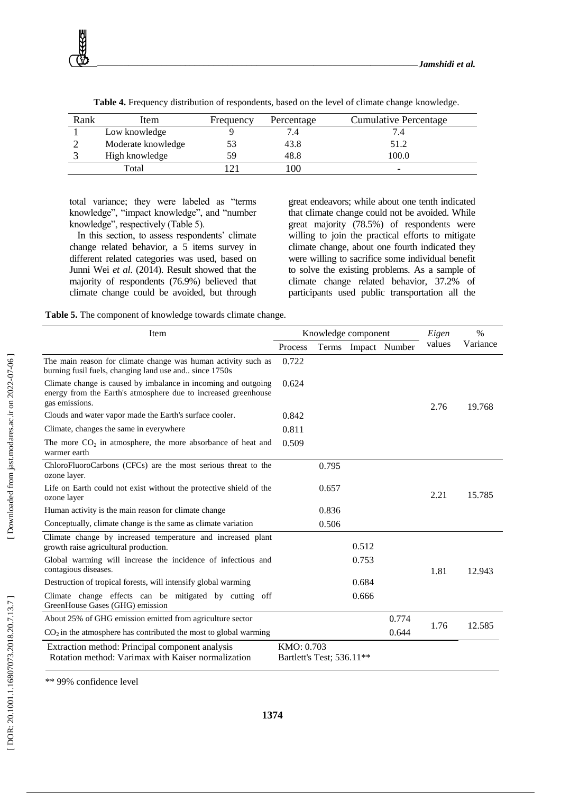| Rank | Item               | Frequency | Percentage | <b>Cumulative Percentage</b> |
|------|--------------------|-----------|------------|------------------------------|
|      | Low knowledge      |           |            |                              |
|      | Moderate knowledge |           | 43.8       | 51.2                         |
|      | High knowledge     | 59        | 48.8       | 100.0                        |
|      | Total              |           | 100        | -                            |

**Table 4.** Frequency distribution of respondents, based on the level of climate change knowledge.

total variance; they were labeled as "terms knowledge", "impact knowledge", and "number knowledge", respectively (Table 5).

In this section, to assess respondents' climate change related behavior, a 5 items survey in different related categories was used, based on Junni Wei *et al*. (2014). Result showed that the majority of respondents (76.9%) believed that climate change could be avoided, but through

great endeavors; while about one tenth indicated that climate change could not be avoided. While great majority (78.5%) of respondents were willing to join the practical efforts to mitigate climate change, about one fourth indicated they were willing to sacrifice some individual benefit to solve the existing problems. As a sample of climate change related behavior, 37.2% of participants used public transportation all the

**Table 5.** The component of knowledge towards climate change.

| Item                                                                                                                                               |                                         | Knowledge component |       | Eigen               | $\frac{0}{0}$ |          |
|----------------------------------------------------------------------------------------------------------------------------------------------------|-----------------------------------------|---------------------|-------|---------------------|---------------|----------|
|                                                                                                                                                    | Process                                 |                     |       | Terms Impact Number | values        | Variance |
| The main reason for climate change was human activity such as<br>burning fusil fuels, changing land use and since 1750s                            | 0.722                                   |                     |       |                     |               |          |
| Climate change is caused by imbalance in incoming and outgoing<br>energy from the Earth's atmosphere due to increased greenhouse<br>gas emissions. | 0.624                                   |                     |       |                     | 2.76          | 19.768   |
| Clouds and water vapor made the Earth's surface cooler.                                                                                            | 0.842                                   |                     |       |                     |               |          |
| Climate, changes the same in everywhere                                                                                                            | 0.811                                   |                     |       |                     |               |          |
| The more $CO2$ in atmosphere, the more absorbance of heat and<br>warmer earth                                                                      | 0.509                                   |                     |       |                     |               |          |
| ChloroFluoroCarbons (CFCs) are the most serious threat to the<br>ozone layer.                                                                      |                                         | 0.795               |       |                     |               |          |
| Life on Earth could not exist without the protective shield of the<br>ozone layer                                                                  |                                         | 0.657               |       |                     | 2.21          | 15.785   |
| Human activity is the main reason for climate change                                                                                               |                                         | 0.836               |       |                     |               |          |
| Conceptually, climate change is the same as climate variation                                                                                      |                                         | 0.506               |       |                     |               |          |
| Climate change by increased temperature and increased plant<br>growth raise agricultural production.                                               |                                         |                     | 0.512 |                     |               |          |
| Global warming will increase the incidence of infectious and<br>contagious diseases.                                                               |                                         |                     | 0.753 |                     | 1.81          | 12.943   |
| Destruction of tropical forests, will intensify global warming                                                                                     |                                         |                     | 0.684 |                     |               |          |
| Climate change effects can be mitigated by cutting off<br>GreenHouse Gases (GHG) emission                                                          |                                         |                     | 0.666 |                     |               |          |
| About 25% of GHG emission emitted from agriculture sector                                                                                          |                                         |                     |       | 0.774               |               |          |
| $CO2$ in the atmosphere has contributed the most to global warming                                                                                 |                                         |                     |       | 0.644               | 1.76          | 12.585   |
| Extraction method: Principal component analysis<br>Rotation method: Varimax with Kaiser normalization                                              | KMO: 0.703<br>Bartlett's Test; 536.11** |                     |       |                     |               |          |

\*\* 99% confidence level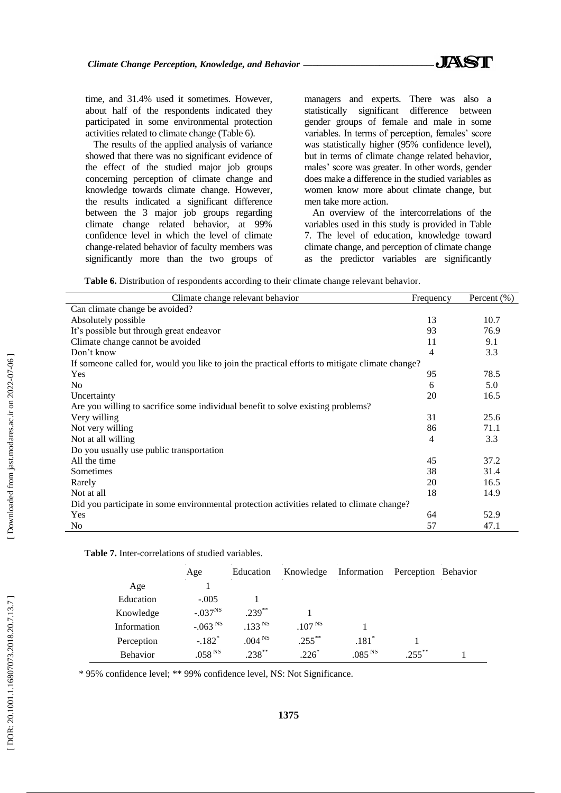time, and 31.4% used it sometimes. However, about half of the respondents indicated they participated in some environmental protection activities related to climate change (Table 6).

The results of the applied analysis of variance showed that there was no significant evidence of the effect of the studied major job groups concerning perception of climate change and knowledge towards climate change. However, the results indicated a significant difference between the 3 major job groups regarding climate change related behavior, at 99% confidence level in which the level of climate change -related behavior of faculty members was significantly more than the two groups of

managers and experts. There was also a statistically significant difference between gender groups of female and male in some variables. In terms of perception, females' score was statistically higher (95% confidence level), but in terms of climate change related behavior, males' score was greater. In other words, gender does make a difference in the studied variables as women know more about climate change, but men take more action.

An overview of the intercorrelations of the variables used in this study is provided in Table 7. The level of education, knowledge toward climate change, and perception of climate change as the predictor variables are significantly

**Table 6.** Distribution of respondents according to their climate change relevant behavior.

| Climate change relevant behavior                                                                | Frequency | Percent (%) |
|-------------------------------------------------------------------------------------------------|-----------|-------------|
| Can climate change be avoided?                                                                  |           |             |
| Absolutely possible                                                                             | 13        | 10.7        |
| It's possible but through great endeavor                                                        | 93        | 76.9        |
| Climate change cannot be avoided                                                                | 11        | 9.1         |
| Don't know                                                                                      | 4         | 3.3         |
| If someone called for, would you like to join the practical efforts to mitigate climate change? |           |             |
| Yes                                                                                             | 95        | 78.5        |
| N <sub>0</sub>                                                                                  | 6         | 5.0         |
| Uncertainty                                                                                     | 20        | 16.5        |
| Are you willing to sacrifice some individual benefit to solve existing problems?                |           |             |
| Very willing                                                                                    | 31        | 25.6        |
| Not very willing                                                                                | 86        | 71.1        |
| Not at all willing                                                                              | 4         | 3.3         |
| Do you usually use public transportation                                                        |           |             |
| All the time                                                                                    | 45        | 37.2        |
| Sometimes                                                                                       | 38        | 31.4        |
| Rarely                                                                                          | 20        | 16.5        |
| Not at all                                                                                      | 18        | 14.9        |
| Did you participate in some environmental protection activities related to climate change?      |           |             |
| Yes                                                                                             | 64        | 52.9        |
| N <sub>0</sub>                                                                                  | 57        | 47.1        |

| <b>Table 7.</b> Inter-correlations of studied variables. |
|----------------------------------------------------------|
|----------------------------------------------------------|

|                 | Age                  | Education          | Knowledge          | Information        | Perception Behavior |  |
|-----------------|----------------------|--------------------|--------------------|--------------------|---------------------|--|
| Age             |                      |                    |                    |                    |                     |  |
| Education       | $-.005$              |                    |                    |                    |                     |  |
| Knowledge       | $-.037^{NS}$         | $.239$ **          |                    |                    |                     |  |
| Information     | $-.063NS$            | .133 <sup>NS</sup> | .107 <sup>NS</sup> |                    |                     |  |
| Perception      | $-.182$ <sup>*</sup> | .004 <sup>NS</sup> | $.255***$          | $.181*$            |                     |  |
| <b>Behavior</b> | .058 <sup>NS</sup>   | $.238***$          | $.226*$            | .085 <sup>NS</sup> | $255^{**}$          |  |

\* 95% confidence level; \*\* 99% confidence level, NS: Not Significance.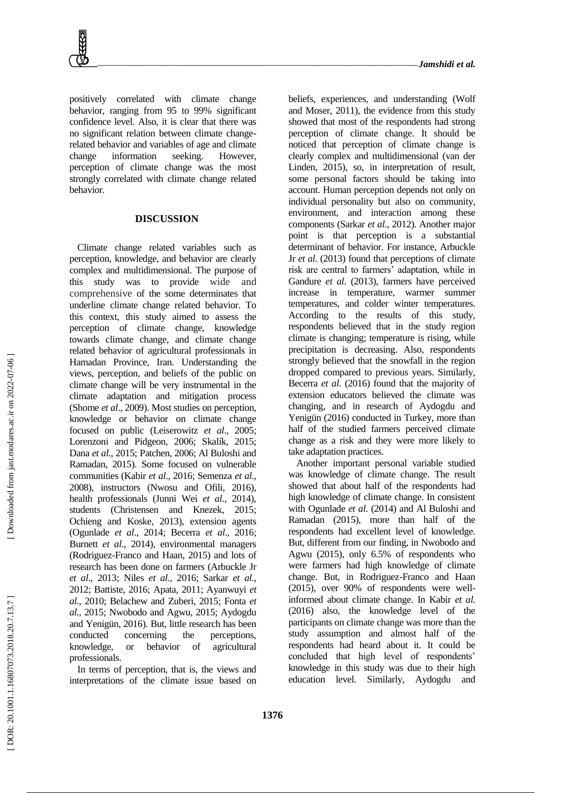positively correlated with climate change behavior, ranging from 95 to 99% significant confidence level. Also, it is clear that there was no significant relation between climate change related behavior and variables of age and climate change information seeking. However, perception of climate change was the most strongly correlated with climate change related behavior.

#### **DISCUSSION**

Climate change related variables such as perception, knowledge, and behavior are clearly complex and multidimensional. The purpose of this study was to provide wide and comprehensive of the some determinates that underline climate change related behavior. To this context, this study aimed to assess the perception of climate change, knowledge towards climate change, and climate change related behavior of agricultural professionals in Hamadan Province, Iran. Understanding the views, perception, and beliefs of the public on climate change will be very instrumental in the climate adaptation and mitigation process (Shome *et al*., 2009). Most studies on perception, knowledge or behavior on climate change focused on public (Leiserowitz *et al*., 2005; Lorenzoni and Pidgeon, 2006; Skalík, 2015; Dana *et al*., 2015; Patchen, 2006; Al Buloshi and Ramadan, 2015). Some focused on vulnerable communities (Kabir *et al*., 2016; Semenza *et al*., 2008), instructors (Nwosu and Ofili, 2016), health professionals (Junni Wei *et al*., 2014), students (Christensen and Knezek, 2015; Ochieng and Koske, 2013), extension agents (Ogunlade *et al*., 2014; Becerra *et al*., 2016; Burnett *et al*., 2014), environmental managers (Rodriguez -Franco and Haan, 2015) and lots of research has been done on farmers (Arbuckle Jr *et al*., 2013; Niles *et al*., 2016; Sarkar *et al*., 2012; Battiste, 2016; Apata, 2011; Ayanwuyi *et al*., 2010; Belachew and Zuberi, 2015; Fonta *et al*., 2015; Nwobodo and Agwu, 2015; Aydogdu and Yenigün, 2016). But, little research has been conducted concerning the perceptions, knowledge, or behavior of agricultural professionals.

In terms of perception, that is, the views and interpretations of the climate issue based on beliefs, experiences, and understanding (Wolf and Moser, 2011), the evidence from this study showed that most of the respondents had strong perception of climate change. It should be noticed that perception of climate change is clearly complex and multidimensional (van der Linden, 2015), so, in interpretation of result, some personal factors should be taking into account. Human perception depends not only on individual personality but also on community, environment, and interaction among these components (Sarkar *et al*., 2012). Another major point is that perception is a substantial determinant of behavior. For instance, Arbuckle Jr *et al*. (2013) found that perceptions of climate risk are central to farmers' adaptation, while in Gandure *et al*. (2013), farmers have perceived increase in temperature, warmer summer temperatures, and colder winter temperatures. According to the results of this study, respondents believed that in the study region climate is changing; temperature is rising, while precipitation is decreasing. Also, respondents strongly believed that the snowfall in the region dropped compared to previous years. Similarly, Becerra *et al*. (2016) found that the majority of extension educators believed the climate was changing, and in research of Aydogdu and Yenigün (2016) conducted in Turkey, more than half of the studied farmers perceived climate change as a risk and they were more likely to take adaptation practices.

Another important personal variable studied was knowledge of climate change. The result showed that about half of the respondents had high knowledge of climate change. In consistent with Ogunlade *et al*. (2014) and Al Buloshi and Ramadan (2015), more than half of the respondents had excellent level of knowledge. But, different from our finding, in Nwobodo and Agwu (2015), only 6.5% of respondents who were farmers had high knowledge of climate change. But, in Rodriguez -Franco and Haan (2015), over 90% of respondents were well informed about climate change. In Kabir *et al*. (2016) also, the knowledge level of the participants on climate change was more than the study assumption and almost half of the respondents had heard about it. It could be concluded that high level of respondents' knowledge in this study was due to their high education level. Similarly, Aydogdu and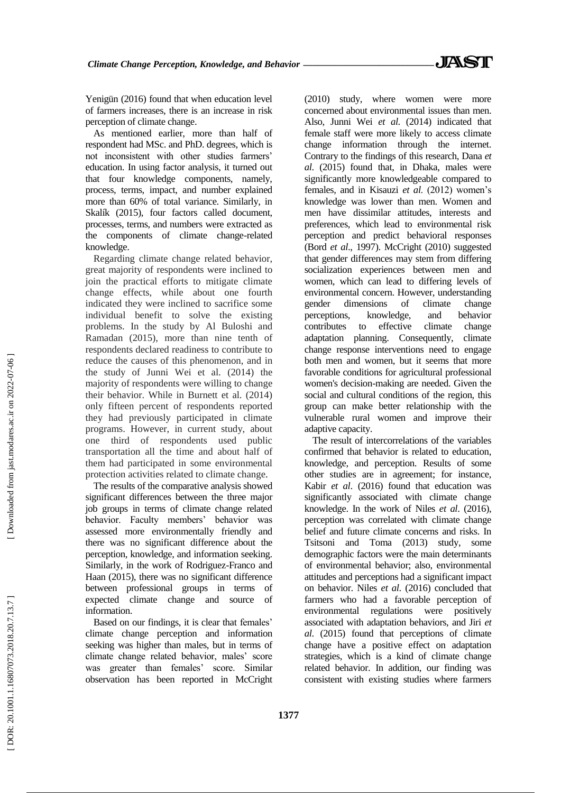Yenigün (2016) found that when education level of farmers increases, there is an increase in risk perception of climate change.

As mentioned earlier, more than half of respondent had MSc. and PhD. degrees, which is not inconsistent with other studies farmers' education. In using factor analysis, it turned out that four knowledge components, namely, process, terms, impact, and number explained more than 60% of total variance. Similarly, in Skalík (2015), four factors called document, processes, terms, and numbers were extracted as the components of climate change -related knowledge.

Regarding climate change related behavior, great majority of respondents were inclined to join the practical efforts to mitigate climate change effects, while about one fourth indicated they were inclined to sacrifice some individual benefit to solve the existing problems. In the study by Al Buloshi and Ramadan (2015), more than nine tenth of respondents declared readiness to contribute to reduce the causes of this phenomenon, and in the study of Junni Wei et al. (2014) the majority of respondents were willing to change their behavior. While in Burnett et al. (2014) only fifteen percent of respondents reported they had previously participated in climate programs. However, in current study, about one third of respondents used public transportation all the time and about half of them had participated in some environmental protection activities related to climate change .

The results of the comparative analysis showed significant differences between the three major job groups in terms of climate change related behavior. Faculty members' behavior was assessed more environmentally friendly and there was no significant difference about the perception, knowledge, and information seeking. Similarly, in the work of Rodriguez -Franco and Haan (2015), there was no significant difference between professional groups in terms of expected climate change and source of information.

Based on our findings, it is clear that females' climate change perception and information seeking was higher than males, but in terms of climate change related behavior, males' score was greater than females' score. Similar observation has been reported in McCright (2010) study, where women were more concerned about environmental issues than men. Also, Junni Wei *et al*. (2014) indicated that female staff were more likely to access climate change information through the internet. Contrary to the findings of this research, Dana *et al*. (2015) found that, in Dhaka, males were significantly more knowledgeable compared to females, and in Kisauzi *et al*. (2012) women's knowledge was lower than men. Women and men have dissimilar attitudes, interests and preferences, which lead to environmental risk perception and predict behavioral responses (Bord *et al*., 1997). McCright (2010) suggested that gender differences may stem from differing socialization experiences between men and women, which can lead to differing levels of environmental concern. However, understanding gender dimensions of climate change perceptions, knowledge, and behavior contributes to effective climate change adaptation planning. Consequently, climate change response interventions need to engage both men and women, but it seems that more favorable conditions for agricultural professional women's decision -making are needed. Given the social and cultural conditions of the region, this group can make better relationship with the vulnerable rural women and improve their adaptive capacity.

The result of intercorrelations of the variables confirmed that behavior is related to education, knowledge, and perception. Results of some other studies are in agreement; for instance, Kabir *et al*. (2016) found that education was significantly associated with climate change knowledge. In the work of Niles *et al*. (2016), perception was correlated with climate change belief and future climate concerns and risks. In Tsitsoni and Toma (2013) study, some demographic factors were the main determinants of environmental behavior; also, environmental attitudes and perceptions had a significant impact on behavior. Niles *et al*. (2016) concluded that farmers who had a favorable perception of environmental regulations were positively associated with adaptation behaviors, and Jiri *et al*. (2015) found that perceptions of climate change have a positive effect on adaptation strategies, which is a kind of climate change related behavior. In addition, our finding was consistent with existing studies where farmers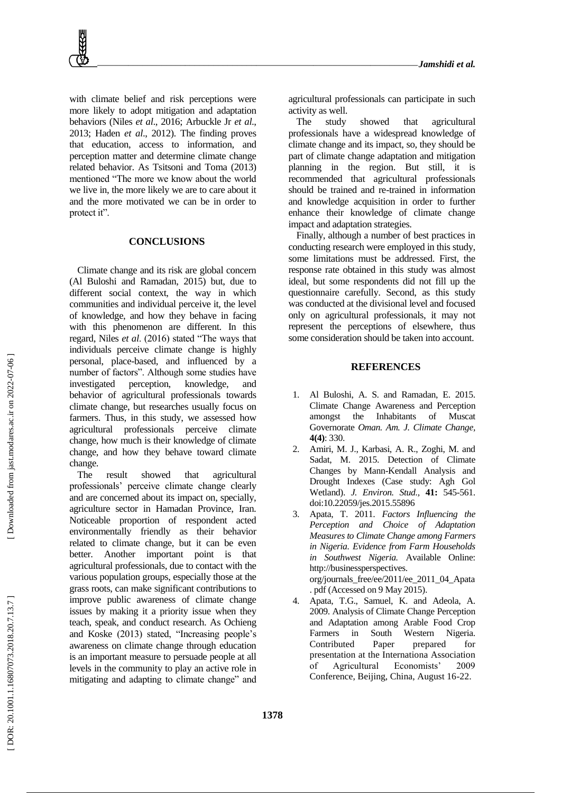with climate belief and risk perceptions were more likely to adopt mitigation and adaptation behaviors (Niles *et al*., 2016; Arbuckle Jr *et al*., 2013; Haden *et al*., 2012). The finding proves that education, access to information, and perception matter and determine climate change related behavior. As Tsitsoni and Toma (2013) mentioned "The more we know about the world we live in, the more likely we are to care about it and the more motivated we can be in order to protect it".

# **CONCLUSIONS**

Climate change and its risk are global concern (Al Buloshi and Ramadan, 2015) but, due to different social context, the way in which communities and individual perceive it, the level of knowledge, and how they behave in facing with this phenomenon are different. In this regard, Niles *et al*. (2016) stated "The ways that individuals perceive climate change is highly personal, place -based, and influenced by a number of factors". Although some studies have investigated perception, knowledge, and behavior of agricultural professionals towards climate change, but researches usually focus on farmers. Thus, in this study, we assessed how agricultural professional s perceive climate change, how much is their knowledge of climate change, and how they behave toward climate change.

The result showed that agricultural professionals' perceive climate change clearly and are concerned about its impact on, specially, agriculture sector in Hamadan Province, Iran. Noticeable proportion of respondent acted environmentally friendly as their behavior related to climate change, but it can be even better. Another important point is that agricultural professionals, due to contact with the various population groups, especially those at the grass roots, can make significant contributions to improve public awareness of climate change issues by making it a priority issue when they teach, speak, and conduct research. As Ochieng and Koske (2013) stated, "Increasing people's awareness on climate change through education is an important measure to persuade people at all levels in the community to play an active role in mitigating and adapting to climate change" and

agricultural professionals can participate in such activity as well.

The study showed that agricultural professionals have a widespread knowledge of climate change and its impact, so, they should be part of climate change adaptation and mitigation planning in the region. But still, it is recommended that agricultural professionals should be trained and re -trained in information and knowledge acquisition in order to further enhance their knowledge of climate change impact and adaptation strategies.

Finally, although a number of best practices in conducting research were employed in this study, some limitations must be addressed. First, the response rate obtained in this study was almost ideal, but some respondents did not fill up the questionnaire carefully. Second, as this study was conducted at the divisional level and focused only on agricultural professionals, it may not represent the perceptions of elsewhere, thus some consideration should be taken into account.

### **REFERENCES**

- 1 . Al Buloshi, A. S. and Ramadan, E. 2015. Climate Change Awareness and Perception amongst the Inhabitants of Muscat Governorate *Oman. Am. J. Climate Change,* **4(4)**: 330.
- 2. . Amiri, M. J., Karbasi, A. R., Zoghi, M. and Sadat, M. 2015. Detection of Climate Changes by Mann -Kendall Analysis and Drought Indexes (Case study: Agh Gol Wetland). *J. Environ. Stud.,* **41:** 545 -561. doi:10.22059/jes.2015.55896
- 3 . Apata, T. 2011. *Factors Influencing the Perception and Choice of Adaptation Measures to Climate Change among Farmers in Nigeria. Evidence from Farm Households in Southwest Nigeria.* Available Online: http://businessperspectives. org/journals\_free/ee/2011/ee\_2011\_04\_Apata . pdf (Accessed on 9 May 2015).
- 4 . Apata, T.G., Samuel, K. and Adeola, A. 2009. Analysis of Climate Change Perception and Adaptation among Arable Food Crop Farmers in South Western Nigeria. Contributed Paper prepared for presentation at the Internationa Association of Agricultural Economists' 2009 Conference, Beijing, China, August 16 -22.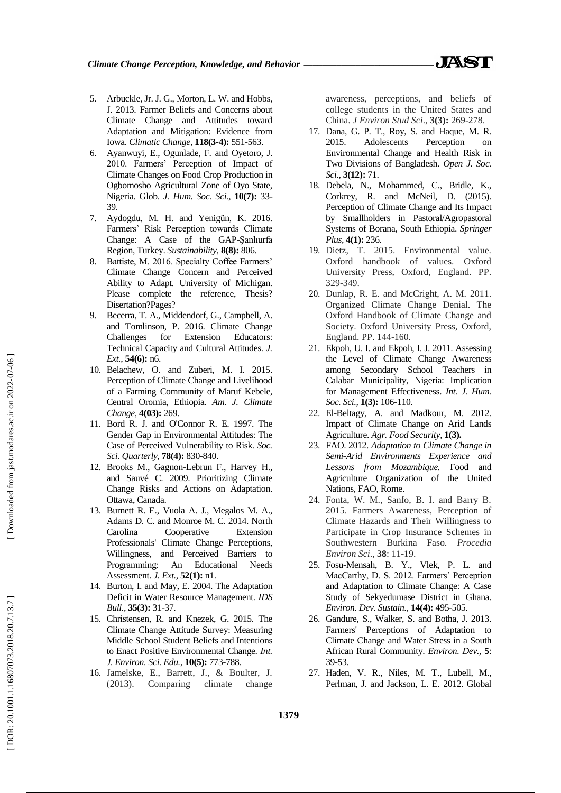- 5 . Arbuckle, Jr. J. G., Morton, L. W. and Hobbs, J. 2013. Farmer Beliefs and Concerns about Climate Change and Attitudes toward Adaptation and Mitigation: Evidence from Iowa. *Climatic Change*, **118(3 -4):** 551 -563.
- 6 . Ayanwuyi, E., Ogunlade, F. and Oyetoro, J. 2010. Farmers' Perception of Impact of Climate Changes on Food Crop Production in Ogbomosho Agricultural Zone of Oyo State, Nigeria. Glob. *J. Hum. Soc. Sci.,* **10(7):** 33 - 39.
- 7 . Aydogdu, M. H. and Yenigün, K. 2016. Farmers' Risk Perception towards Climate Change: A Case of the GAP -Şanlıurfa Region, Turkey. *Sustainability,* **8(8):** 806.
- 8 . Battiste, M. 2016. Specialty Coffee Farmers' Climate Change Concern and Perceived Ability to Adapt. University of Michigan. Please complete the reference, Thesis? Disertation?Pages?
- 9 . Becerra, T. A., Middendorf, G., Campbell, A. and Tomlinson, P. 2016. Climate Change Challenges for Extension Educators: Technical Capacity and Cultural Attitudes. *J. Ext.,* **54(6):** n6.
- 10 . Belachew, O. and Zuberi, M. I. 2015. Perception of Climate Change and Livelihood of a Farming Community of Maruf Kebele, Central Oromia, Ethiopia. *Am. J. Climate Change*, **4(03):** 269.
- 11 . Bord R. J. and O'Connor R. E. 1997. The Gender Gap in Environmental Attitudes: The Case of Perceived Vulnerability to Risk. *Soc. Sci. Quarterly*, **78(4):** 830 -840.
- 12 . Brooks M., Gagnon -Lebrun F., Harvey H., and Sauvé C. 2009. Prioritizing Climate Change Risks and Actions on Adaptation. Ottawa, Canada.
- 13 . Burnett R. E., Vuola A. J., Megalos M. A., Adams D. C. and Monroe M. C. 2014. North Carolina Cooperative Extension Professionals' Climate Change Perceptions, Willingness, and Perceived Barriers to Programming: An Educational Needs Assessment. *J. Ext.,* **52(1):** n1.
- 14 . Burton, I. and May, E. 2004. The Adaptation Deficit in Water Resource Management. *IDS Bull.,* **35(3):** 31 -37.
- 15 . Christensen, R. and Knezek, G. 2015. The Climate Change Attitude Survey: Measuring Middle School Student Beliefs and Intentions to Enact Positive Environmental Change. *Int. J. Environ. Sci. Edu.,* **10(5):** 773 -788.
- 16 . Jamelske, E., Barrett, J., & Boulter, J. (2013). Comparing climate change

awareness, perceptions, and beliefs of college students in the United States and China. *J Environ Stud Sci*., **3(3):** 269 -278.

- 17 . Dana, G. P. T., Roy, S. and Haque, M. R. 2015. Adolescents Perception on Environmental Change and Health Risk in Two Divisions of Bangladesh. *Open J. Soc. Sci.,* **3(12):** 71.
- 18 . Debela, N., Mohammed, C., Bridle, K., Corkrey, R. and McNeil, D. (2015). Perception of Climate Change and Its Impact by Smallholders in Pastoral/Agropastoral Systems of Borana, South Ethiopia. *Springer Plus,* **4(1):** 236.
- 19 . Dietz, T. 2015. Environmental value. Oxford handbook of values. Oxford University Press, Oxford, England. PP. 329 -349.
- 20 . Dunlap, R. E. and McCright, A. M. 2011. Organized Climate Change Denial. The Oxford Handbook of Climate Change and Society. Oxford University Press, Oxford, England. PP. 144 -160.
- 21 . Ekpoh, U. I. and Ekpoh, I. J. 2011. Assessing the Level of Climate Change Awareness among Secondary School Teachers in Calabar Municipality, Nigeria: Implication for Management Effectiveness. *Int. J. Hum. Soc. Sci.,* **1(3):** 106 -110.
- 22 . El -Beltagy, A. and Madkour, M. 2012. Impact of Climate Change on Arid Lands Agriculture. *Agr. Food Security,* **1(3).**
- 23 . FAO. 2012. *Adaptation to Climate Change in Semi -Arid Environments Experience and Lessons from Mozambique.* Food and Agriculture Organization of the United Nations, FAO, Rome.
- 24 . Fonta, W. M., Sanfo, B. I. and Barry B. 2015. Farmers Awareness, Perception of Climate Hazards and Their Willingness to Participate in Crop Insurance Schemes in Southwestern Burkina Fas o*. Procedia Environ Sci*., **38**: 11 -19.
- 25 . Fosu -Mensah, B. Y., Vlek, P. L. and MacCarthy, D. S. 2012. Farmers' Perception and Adaptation to Climate Change: A Case Study of Sekyedumase District in Ghana. *Environ. Dev. Sustain.,* **14(4):** 495 -505.
- 26 . Gandure, S., Walker, S. and Botha, J. 2013. Farmers' Perceptions of Adaptation to Climate Change and Water Stress in a South African Rural Community. *Environ. Dev.,* **5**: 39 -53.
- 27 . Haden, V. R., Niles, M. T., Lubell, M., Perlman, J. and Jackson, L. E. 2012. Global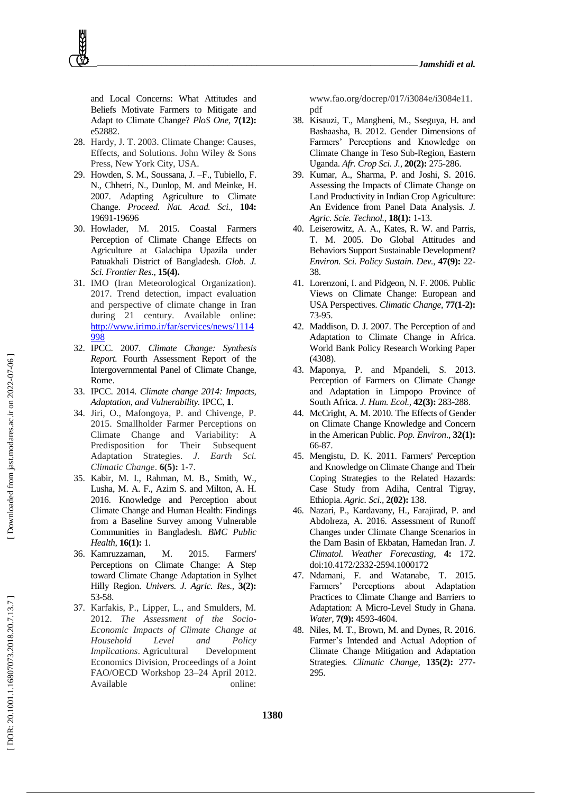and Local Concerns: What Attitudes and Beliefs Motivate Farmers to Mitigate and Adapt to Climate Change? *PloS One,* **7(12):** e52882.

- 28 . Hardy, J. T. 2003. Climate Change: Causes, Effects, and Solutions. John Wiley & Sons Press, New York City, USA .
- 29 . Howden, S. M., Soussana, J. –F., Tubiello, F. N., Chhetri, N., Dunlop, M. and Meinke, H. 2007. Adapting Agriculture to Climate Change. *Proceed. Nat. Acad. Sci.,* **104:** 19691 -19696
- 30 . Howlader, M. 2015. Coastal Farmers Perception of Climate Change Effects on Agriculture at Galachipa Upazila under Patuakhali District of Bangladesh. *Glob. J. Sci. Frontier Res.,* **15(4).**
- 31 . IMO (Iran Meteorological Organization). 2017. Trend detection, impact evaluation and perspective of climate change in Iran during 21 century. Available online: [http://www.irimo.ir/far/services/news/1114](http://www.irimo.ir/far/services/news/1114998) [998](http://www.irimo.ir/far/services/news/1114998)
- 32 . IPCC. 2007. *Climate Change: Synthesis Report.* Fourth Assessment Report of the Intergovernmental Panel of Climate Change, Rome.
- 33 . IPCC. 2014. *Climate change 2014: Impacts, Adaptation, and Vulnerability.* IPCC, **1** .
- 34 . Jiri, O., Mafongoya, P. and Chivenge, P. 2015. Smallholder Farmer Perceptions on Climate Change and Variability: A Predisposition for Their Subsequent Adaptation Strategies. *J. Earth Sci. Climatic Change*. **6(5):** 1 - 7 .
- 35 . Kabir, M. I., Rahman, M. B., Smith, W., Lusha, M. A. F., Azim S. and Milton, A. H. 2016. Knowledge and Perception about Climate Change and Human Health: Findings from a Baseline Survey among Vulnerable Communities in Bangladesh. *BMC Public Health,* **16(1):** 1.
- 36 . Kamruzzaman, M. 2015. Farmers' Perceptions on Climate Change: A Step toward Climate Change Adaptation in Sylhet Hilly Region. *Univers. J. Agric. Res.,* **3(2):** 53 -58.
- 37 . Karfakis, P., Lipper, L., and Smulders, M. 2012. *The Assessment of the Socio - Economic Impacts of Climate Change at Household Level and Policy Implications* . Agricultural Development Economics Division, Proceedings of a Joint FAO/OECD Workshop 23 –24 April 2012. Available online:

www.fao.org/docrep/017/i3084e/i3084e11. pdf

- 38 . Kisauzi, T., Mangheni, M., Sseguya, H. and Bashaasha, B. 2012. Gender Dimensions of Farmers' Perceptions and Knowledge on Climate Change in Teso Sub -Region, Eastern Uganda. *Afr. Crop Sci. J.,* **20(2):** 275 -286.
- 39 . Kumar, A., Sharma, P. and Joshi, S. 2016. Assessing the Impacts of Climate Change on Land Productivity in Indian Crop Agriculture: An Evidence from Panel Data Analysis. *J. Agric. Scie. Technol.,* **18(1):** 1 -13.
- 40 . Leiserowitz, A. A., Kates, R. W. and Parris, T. M. 2005. Do Global Attitudes and Behaviors Support Sustainable Development? *Environ. Sci. Policy Sustain. Dev.,* **47(9):** 22 - 38.
- 41 . Lorenzoni, I. and Pidgeon, N. F. 2006. Public Views on Climate Change: European and USA Perspectives. *Climatic Change,* **77(1 -2):** 73 -95.
- 42 . Maddison, D. J. 2007. The Perception of and Adaptation to Climate Change in Africa. World Bank Policy Research Working Paper (4308).
- 43 . Maponya, P. and Mpandeli, S. 2013. Perception of Farmers on Climate Change and Adaptation in Limpopo Province of South Africa. *J. Hum. Ecol.,* **42(3):** 283 -288.
- 44 . McCright, A. M. 2010. The Effects of Gender on Climate Change Knowledge and Concern in the American Public. *Pop. Environ*., **32(1):** 66 -87.
- 45 . Mengistu, D. K. 2011. Farmers' Perception and Knowledge on Climate Change and Their Coping Strategies to the Related Hazards: Case Study from Adiha, Central Tigray, Ethiopia. *Agric. Sci.,* **2(02):** 138.
- 46 . Nazari, P., Kardavany, H., Farajirad, P. and Abdolreza, A. 2016. Assessment of Runoff Changes under Climate Change Scenarios in the Dam Basin of Ekbatan, Hamedan Iran. *J. Climatol. Weather Forecasting*, **4:** 172. doi:10.4172/2332 -2594.1000172
- 47 . Ndamani, F. and Watanabe, T. 2015. Farmers' Perceptions about Adaptation Practices to Climate Change and Barriers to Adaptation: A Micro -Level Study in Ghana. *Water,* **7(9):** 4593 -4604.
- 48 . Niles, M. T., Brown, M. and Dynes, R. 2016. Farmer's Intended and Actual Adoption of Climate Change Mitigation and Adaptation Strategies. *Climatic Change*, **135(2):** 277 - 295.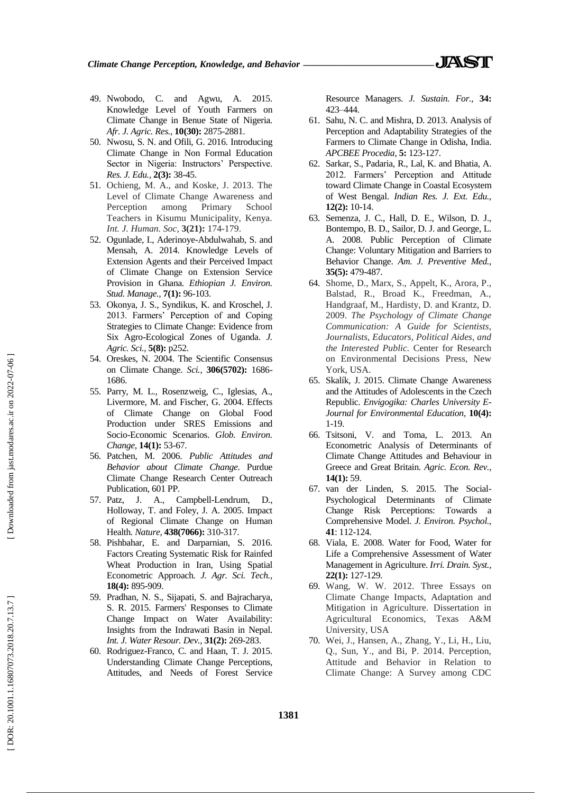- 49 . Nwobodo, C. and Agwu, A. 2015. Knowledge Level of Youth Farmers on Climate Change in Benue State of Nigeria. *Afr. J. Agric. Res.,* **10(30):** 2875 -2881.
- 50 . Nwosu, S. N. and Ofili, G. 2016. Introducing Climate Change in Non Formal Education Sector in Nigeria: Instructors' Perspective. *Res. J. Edu.,* **2(3):** 38 -45.
- 51 . Ochieng, M. A., and Koske, J. 2013. The Level of Climate Change Awareness and Perception among Primary School Teachers in Kisumu Municipality, Kenya. *Int. J. Human. Soc*, **3(21):** 174 -179.
- 52 . Ogunlade, I., Aderinoye -Abdulwahab, S. and Mensah, A. 2014. Knowledge Levels of Extension Agents and their Perceived Impact of Climate Change on Extension Service Provision in Ghana. *Ethiopian J. Environ. Stud. Manage.,* **7(1):** 96 -103.
- 53 . Okonya, J. S., Syndikus, K. and Kroschel, J. 2013. Farmers' Perception of and Coping Strategies to Climate Change: Evidence from Six Agro -Ecological Zones of Uganda. *J. Agric. Sci.,* **5(8):** p252.
- 54 . Oreskes, N. 2004. The Scientific Consensus on Climate Change. *Sci.,* **306(5702):** 1686 - 1686.
- 55 . Parry, M. L., Rosenzweig, C., Iglesias, A., Livermore, M. and Fischer, G. 2004. Effects of Climate Change on Global Food Production under SRES Emissions and Socio -Economic Scenarios. *Glob. Environ. Change,* **14(1):** 53 -67.
- 56 . Patchen, M. 2006. *Public Attitudes and Behavior about Climate Change*. Purdue Climate Change Research Center Outreach Publication, 601 PP.
- 57 . Patz, J. A., Campbell -Lendrum, D., Holloway, T. and Foley, J. A. 2005. Impact of Regional Climate Change on Human Health. *Nature,* **438(7066):** 310 -317.
- 58 . Pishbahar, E. and Darparnian, S. 2016. Factors Creating Systematic Risk for Rainfed Wheat Production in Iran, Using Spatial Econometric Approach. *J. Agr. Sci. Tech.,* **18(4):** 895 -909.
- 59 . Pradhan, N. S., Sijapati, S. and Bajracharya, S. R. 2015. Farmers' Responses to Climate Change Impact on Water Availability: Insights from the Indrawati Basin in Nepal. *Int. J. Water Resour. Dev.,* **31(2):** 269 -283.
- 60 . Rodriguez -Franco, C. and Haan, T. J. 2015. Understanding Climate Change Perceptions, Attitudes, and Needs of Forest Service

Resource Managers. *J. Sustain. For.,* **34:** 423 –444.

- 61 . Sahu, N. C. and Mishra, D. 2013. Analysis of Perception and Adaptability Strategies of the Farmers to Climate Change in Odisha, India. *APCBEE Procedia,* **5:** 123 -127.
- 62 . Sarkar, S., Padaria, R., Lal, K. and Bhatia, A. 2012. Farmers' Perception and Attitude toward Climate Change in Coastal Ecosystem of West Bengal. *Indian Res. J. Ext. Edu.,* **12(2) :** 10 -14.
- 63 . Semenza, J. C., Hall, D. E., Wilson, D. J., Bontempo, B. D., Sailor, D. J. and George, L. A. 2008. Public Perception of Climate Change: Voluntary Mitigation and Barriers to Behavior Change. *Am. J. Preventive Med.,* **35(5):** 479 -487.
- 64 . Shome, D., Marx, S., Appelt, K., Arora, P., Balstad, R., Broad K., Freedman, A., Handgraaf, M., Hardisty, D. and Krantz, D. 2009. *The Psychology of Climate Change Communication: A Guide for Scientists, Journalists, Educators, Political Aides, and the Interested Public.* Center for Research on Environmental Decisions Press, New York, USA.
- 65 . Skalík, J. 2015. Climate Change Awareness and the Attitudes of Adolescents in the Czech Republic. *Envigogika: Charles University E - Journal for Environmental Education,* **10(4):** 1-19.
- 66 . Tsitsoni, V. and Toma, L. 2013. An Econometric Analysis of Determinants of Climate Change Attitudes and Behaviour in Greece and Great Britain. *Agric. Econ. Rev.,* **14(1):** 59.
- 67 . van der Linden, S. 2015. The Social Psychological Determinants of Climate Change Risk Perceptions: Towards a Comprehensive Model. *J. Environ. Psychol.,* **41**: 112 -124.
- 68 . Viala, E. 2008. Water for Food, Water for Life a Comprehensive Assessment of Water Management in Agriculture. *Irri. Drain. Syst.,* **22(1):** 127 -129.
- 69 . Wang, W. W. 2012. Three Essays on Climate Change Impacts, Adaptation and Mitigation in Agriculture. Dissertation in Agricultural Economics, Texas A&M University, USA
- 70 . Wei, J., Hansen, A., Zhang, Y., Li, H., Liu, Q., Sun, Y., and Bi, P. 2014. Perception, Attitude and Behavior in Relation to Climate Change: A Survey among CDC